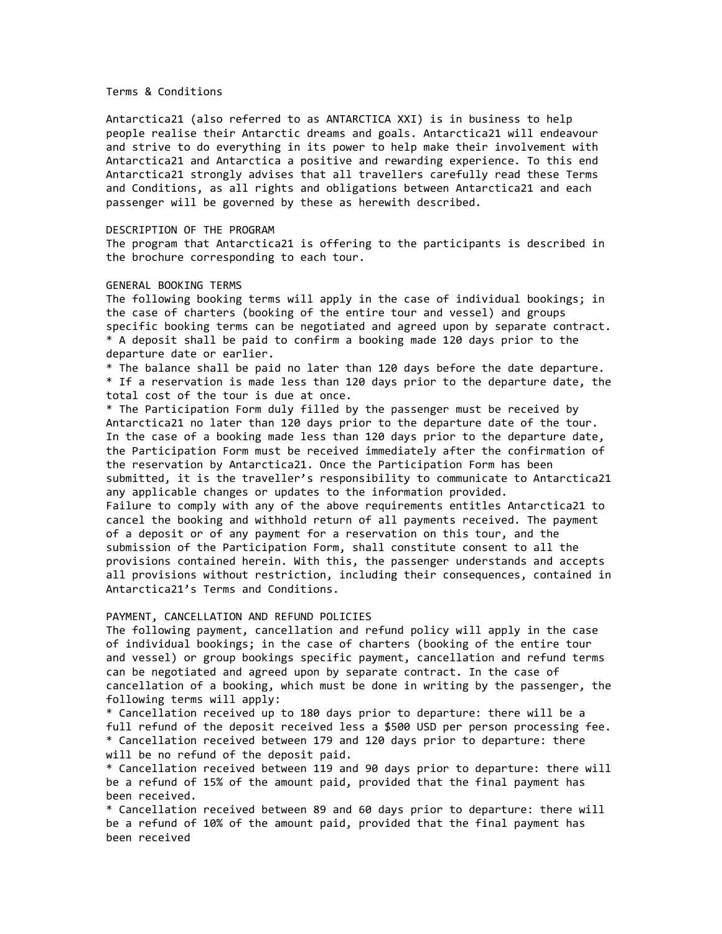## Terms & Conditions

Antarctica21 (also referred to as ANTARCTICA XXI) is in business to help people realise their Antarctic dreams and goals. Antarctica21 will endeavour and strive to do everything in its power to help make their involvement with Antarctica21 and Antarctica a positive and rewarding experience. To this end Antarctica21 strongly advises that all travellers carefully read these Terms and Conditions, as all rights and obligations between Antarctica21 and each passenger will be governed by these as herewith described.

#### DESCRIPTION OF THE PROGRAM

The program that Antarctica21 is offering to the participants is described in the brochure corresponding to each tour.

# GENERAL BOOKING TERMS

The following booking terms will apply in the case of individual bookings; in the case of charters (booking of the entire tour and vessel) and groups specific booking terms can be negotiated and agreed upon by separate contract. \* A deposit shall be paid to confirm a booking made 120 days prior to the departure date or earlier.

\* The balance shall be paid no later than 120 days before the date departure. \* If a reservation is made less than 120 days prior to the departure date, the total cost of the tour is due at once.

\* The Participation Form duly filled by the passenger must be received by Antarctica21 no later than 120 days prior to the departure date of the tour. In the case of a booking made less than 120 days prior to the departure date, the Participation Form must be received immediately after the confirmation of the reservation by Antarctica21. Once the Participation Form has been submitted, it is the traveller's responsibility to communicate to Antarctica21 any applicable changes or updates to the information provided. Failure to comply with any of the above requirements entitles Antarctica21 to cancel the booking and withhold return of all payments received. The payment of a deposit or of any payment for a reservation on this tour, and the submission of the Participation Form, shall constitute consent to all the provisions contained herein. With this, the passenger understands and accepts all provisions without restriction, including their consequences, contained in Antarctica21's Terms and Conditions.

# PAYMENT, CANCELLATION AND REFUND POLICIES

The following payment, cancellation and refund policy will apply in the case of individual bookings; in the case of charters (booking of the entire tour and vessel) or group bookings specific payment, cancellation and refund terms can be negotiated and agreed upon by separate contract. In the case of cancellation of a booking, which must be done in writing by the passenger, the following terms will apply:

\* Cancellation received up to 180 days prior to departure: there will be a full refund of the deposit received less a \$500 USD per person processing fee. \* Cancellation received between 179 and 120 days prior to departure: there will be no refund of the deposit paid.

\* Cancellation received between 119 and 90 days prior to departure: there will be a refund of 15% of the amount paid, provided that the final payment has been received.

\* Cancellation received between 89 and 60 days prior to departure: there will be a refund of 10% of the amount paid, provided that the final payment has been received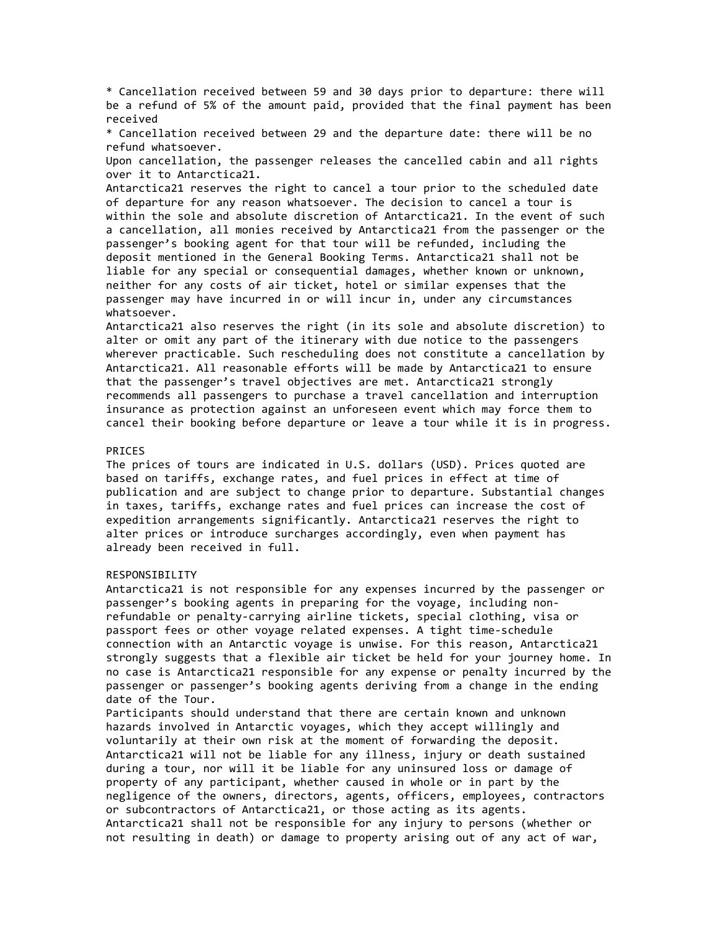\* Cancellation received between 59 and 30 days prior to departure: there will be a refund of 5% of the amount paid, provided that the final payment has been received

\* Cancellation received between 29 and the departure date: there will be no refund whatsoever.

Upon cancellation, the passenger releases the cancelled cabin and all rights over it to Antarctica21.

Antarctica21 reserves the right to cancel a tour prior to the scheduled date of departure for any reason whatsoever. The decision to cancel a tour is within the sole and absolute discretion of Antarctica21. In the event of such a cancellation, all monies received by Antarctica21 from the passenger or the passenger's booking agent for that tour will be refunded, including the deposit mentioned in the General Booking Terms. Antarctica21 shall not be liable for any special or consequential damages, whether known or unknown, neither for any costs of air ticket, hotel or similar expenses that the passenger may have incurred in or will incur in, under any circumstances whatsoever.

Antarctica21 also reserves the right (in its sole and absolute discretion) to alter or omit any part of the itinerary with due notice to the passengers wherever practicable. Such rescheduling does not constitute a cancellation by Antarctica21. All reasonable efforts will be made by Antarctica21 to ensure that the passenger's travel objectives are met. Antarctica21 strongly recommends all passengers to purchase a travel cancellation and interruption insurance as protection against an unforeseen event which may force them to cancel their booking before departure or leave a tour while it is in progress.

#### PRICES

The prices of tours are indicated in U.S. dollars (USD). Prices quoted are based on tariffs, exchange rates, and fuel prices in effect at time of publication and are subject to change prior to departure. Substantial changes in taxes, tariffs, exchange rates and fuel prices can increase the cost of expedition arrangements significantly. Antarctica21 reserves the right to alter prices or introduce surcharges accordingly, even when payment has already been received in full.

#### RESPONSIBILITY

Antarctica21 is not responsible for any expenses incurred by the passenger or passenger's booking agents in preparing for the voyage, including nonrefundable or penalty-carrying airline tickets, special clothing, visa or passport fees or other voyage related expenses. A tight time-schedule connection with an Antarctic voyage is unwise. For this reason, Antarctica21 strongly suggests that a flexible air ticket be held for your journey home. In no case is Antarctica21 responsible for any expense or penalty incurred by the passenger or passenger's booking agents deriving from a change in the ending date of the Tour.

Participants should understand that there are certain known and unknown hazards involved in Antarctic voyages, which they accept willingly and voluntarily at their own risk at the moment of forwarding the deposit. Antarctica21 will not be liable for any illness, injury or death sustained during a tour, nor will it be liable for any uninsured loss or damage of property of any participant, whether caused in whole or in part by the negligence of the owners, directors, agents, officers, employees, contractors or subcontractors of Antarctica21, or those acting as its agents. Antarctica21 shall not be responsible for any injury to persons (whether or not resulting in death) or damage to property arising out of any act of war,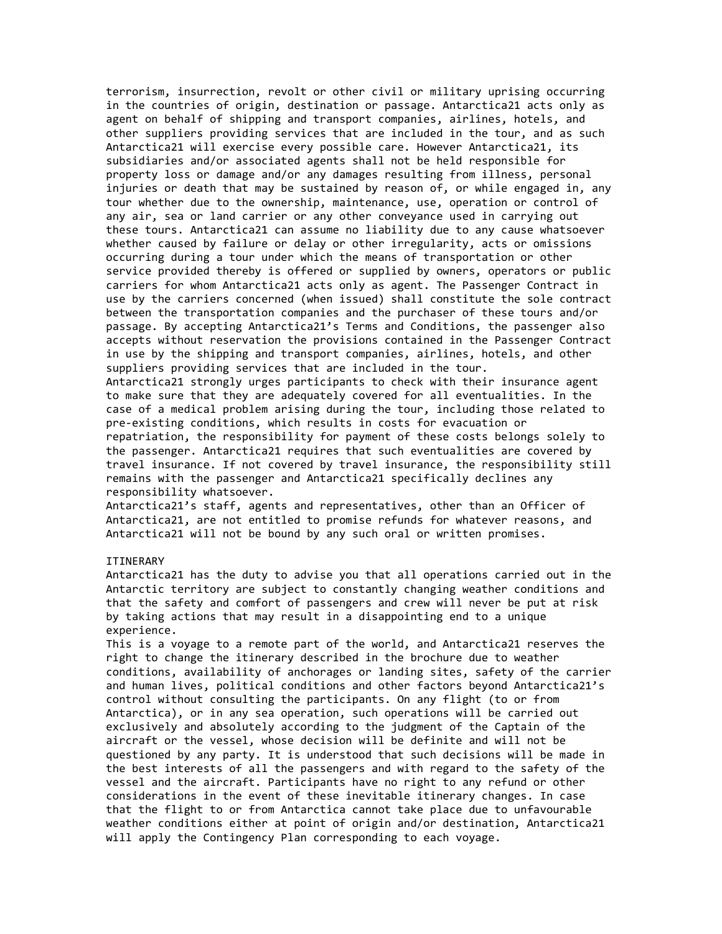terrorism, insurrection, revolt or other civil or military uprising occurring in the countries of origin, destination or passage. Antarctica21 acts only as agent on behalf of shipping and transport companies, airlines, hotels, and other suppliers providing services that are included in the tour, and as such Antarctica21 will exercise every possible care. However Antarctica21, its subsidiaries and/or associated agents shall not be held responsible for property loss or damage and/or any damages resulting from illness, personal injuries or death that may be sustained by reason of, or while engaged in, any tour whether due to the ownership, maintenance, use, operation or control of any air, sea or land carrier or any other conveyance used in carrying out these tours. Antarctica21 can assume no liability due to any cause whatsoever whether caused by failure or delay or other irregularity, acts or omissions occurring during a tour under which the means of transportation or other service provided thereby is offered or supplied by owners, operators or public carriers for whom Antarctica21 acts only as agent. The Passenger Contract in use by the carriers concerned (when issued) shall constitute the sole contract between the transportation companies and the purchaser of these tours and/or passage. By accepting Antarctica21's Terms and Conditions, the passenger also accepts without reservation the provisions contained in the Passenger Contract in use by the shipping and transport companies, airlines, hotels, and other suppliers providing services that are included in the tour. Antarctica21 strongly urges participants to check with their insurance agent to make sure that they are adequately covered for all eventualities. In the case of a medical problem arising during the tour, including those related to pre-existing conditions, which results in costs for evacuation or repatriation, the responsibility for payment of these costs belongs solely to the passenger. Antarctica21 requires that such eventualities are covered by travel insurance. If not covered by travel insurance, the responsibility still remains with the passenger and Antarctica21 specifically declines any

responsibility whatsoever.

Antarctica21's staff, agents and representatives, other than an Officer of Antarctica21, are not entitled to promise refunds for whatever reasons, and Antarctica21 will not be bound by any such oral or written promises.

## **TTTNFRARY**

Antarctica21 has the duty to advise you that all operations carried out in the Antarctic territory are subject to constantly changing weather conditions and that the safety and comfort of passengers and crew will never be put at risk by taking actions that may result in a disappointing end to a unique experience.

This is a voyage to a remote part of the world, and Antarctica21 reserves the right to change the itinerary described in the brochure due to weather conditions, availability of anchorages or landing sites, safety of the carrier and human lives, political conditions and other factors beyond Antarctica21's control without consulting the participants. On any flight (to or from Antarctica), or in any sea operation, such operations will be carried out exclusively and absolutely according to the judgment of the Captain of the aircraft or the vessel, whose decision will be definite and will not be questioned by any party. It is understood that such decisions will be made in the best interests of all the passengers and with regard to the safety of the vessel and the aircraft. Participants have no right to any refund or other considerations in the event of these inevitable itinerary changes. In case that the flight to or from Antarctica cannot take place due to unfavourable weather conditions either at point of origin and/or destination, Antarctica21 will apply the Contingency Plan corresponding to each voyage.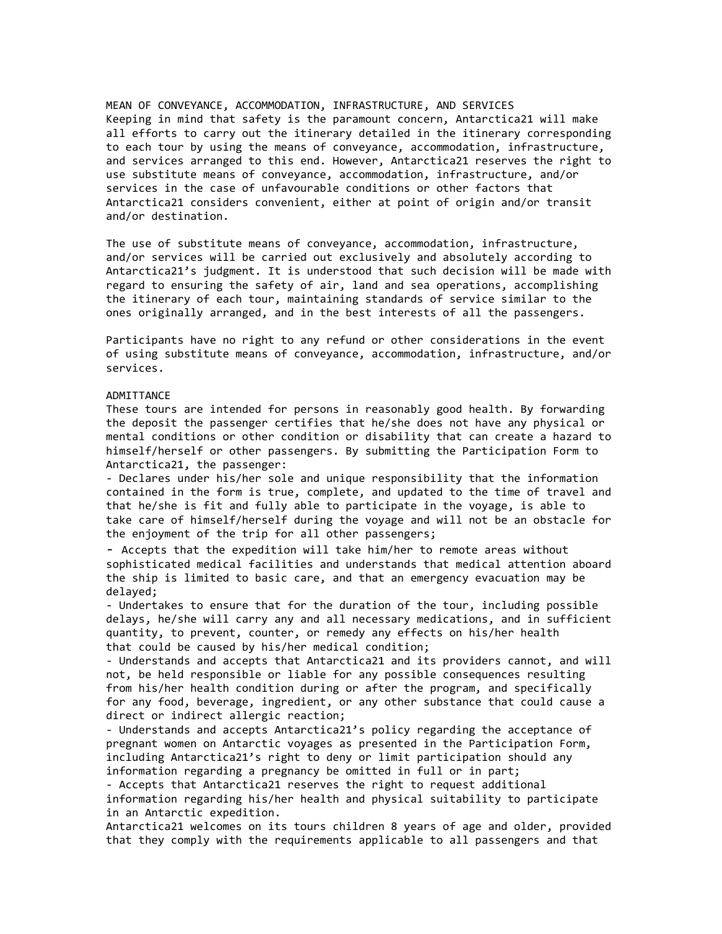MEAN OF CONVEYANCE, ACCOMMODATION, INFRASTRUCTURE, AND SERVICES Keeping in mind that safety is the paramount concern, Antarctica21 will make all efforts to carry out the itinerary detailed in the itinerary corresponding to each tour by using the means of conveyance, accommodation, infrastructure, and services arranged to this end. However, Antarctica21 reserves the right to use substitute means of conveyance, accommodation, infrastructure, and/or services in the case of unfavourable conditions or other factors that Antarctica21 considers convenient, either at point of origin and/or transit and/or destination.

The use of substitute means of conveyance, accommodation, infrastructure, and/or services will be carried out exclusively and absolutely according to Antarctica21's judgment. It is understood that such decision will be made with regard to ensuring the safety of air, land and sea operations, accomplishing the itinerary of each tour, maintaining standards of service similar to the ones originally arranged, and in the best interests of all the passengers.

Participants have no right to any refund or other considerations in the event of using substitute means of conveyance, accommodation, infrastructure, and/or services.

### ADMITTANCE

These tours are intended for persons in reasonably good health. By forwarding the deposit the passenger certifies that he/she does not have any physical or mental conditions or other condition or disability that can create a hazard to himself/herself or other passengers. By submitting the Participation Form to Antarctica21, the passenger:

- Declares under his/her sole and unique responsibility that the information contained in the form is true, complete, and updated to the time of travel and that he/she is fit and fully able to participate in the voyage, is able to take care of himself/herself during the voyage and will not be an obstacle for the enjoyment of the trip for all other passengers;

- Accepts that the expedition will take him/her to remote areas without sophisticated medical facilities and understands that medical attention aboard the ship is limited to basic care, and that an emergency evacuation may be delayed;

- Undertakes to ensure that for the duration of the tour, including possible delays, he/she will carry any and all necessary medications, and in sufficient quantity, to prevent, counter, or remedy any effects on his/her health that could be caused by his/her medical condition;

- Understands and accepts that Antarctica21 and its providers cannot, and will not, be held responsible or liable for any possible consequences resulting from his/her health condition during or after the program, and specifically for any food, beverage, ingredient, or any other substance that could cause a direct or indirect allergic reaction;

- Understands and accepts Antarctica21's policy regarding the acceptance of pregnant women on Antarctic voyages as presented in the Participation Form, including Antarctica21's right to deny or limit participation should any information regarding a pregnancy be omitted in full or in part;

- Accepts that Antarctica21 reserves the right to request additional information regarding his/her health and physical suitability to participate in an Antarctic expedition.

Antarctica21 welcomes on its tours children 8 years of age and older, provided that they comply with the requirements applicable to all passengers and that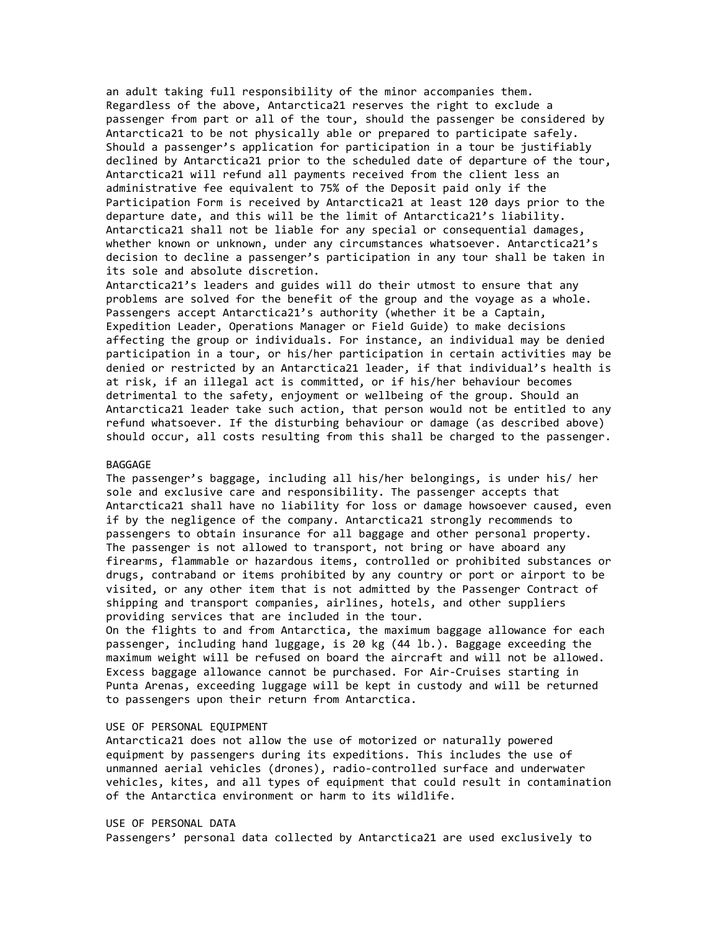an adult taking full responsibility of the minor accompanies them. Regardless of the above, Antarctica21 reserves the right to exclude a passenger from part or all of the tour, should the passenger be considered by Antarctica21 to be not physically able or prepared to participate safely. Should a passenger's application for participation in a tour be justifiably declined by Antarctica21 prior to the scheduled date of departure of the tour, Antarctica21 will refund all payments received from the client less an administrative fee equivalent to 75% of the Deposit paid only if the Participation Form is received by Antarctica21 at least 120 days prior to the departure date, and this will be the limit of Antarctica21's liability. Antarctica21 shall not be liable for any special or consequential damages, whether known or unknown, under any circumstances whatsoever. Antarctica21's decision to decline a passenger's participation in any tour shall be taken in its sole and absolute discretion.

Antarctica21's leaders and guides will do their utmost to ensure that any problems are solved for the benefit of the group and the voyage as a whole. Passengers accept Antarctica21's authority (whether it be a Captain, Expedition Leader, Operations Manager or Field Guide) to make decisions affecting the group or individuals. For instance, an individual may be denied participation in a tour, or his/her participation in certain activities may be denied or restricted by an Antarctica21 leader, if that individual's health is at risk, if an illegal act is committed, or if his/her behaviour becomes detrimental to the safety, enjoyment or wellbeing of the group. Should an Antarctica21 leader take such action, that person would not be entitled to any refund whatsoever. If the disturbing behaviour or damage (as described above) should occur, all costs resulting from this shall be charged to the passenger.

#### BAGGAGE

The passenger's baggage, including all his/her belongings, is under his/ her sole and exclusive care and responsibility. The passenger accepts that Antarctica21 shall have no liability for loss or damage howsoever caused, even if by the negligence of the company. Antarctica21 strongly recommends to passengers to obtain insurance for all baggage and other personal property. The passenger is not allowed to transport, not bring or have aboard any firearms, flammable or hazardous items, controlled or prohibited substances or drugs, contraband or items prohibited by any country or port or airport to be visited, or any other item that is not admitted by the Passenger Contract of shipping and transport companies, airlines, hotels, and other suppliers providing services that are included in the tour.

On the flights to and from Antarctica, the maximum baggage allowance for each passenger, including hand luggage, is 20 kg (44 lb.). Baggage exceeding the maximum weight will be refused on board the aircraft and will not be allowed. Excess baggage allowance cannot be purchased. For Air-Cruises starting in Punta Arenas, exceeding luggage will be kept in custody and will be returned to passengers upon their return from Antarctica.

#### USE OF PERSONAL EQUIPMENT

Antarctica21 does not allow the use of motorized or naturally powered equipment by passengers during its expeditions. This includes the use of unmanned aerial vehicles (drones), radio-controlled surface and underwater vehicles, kites, and all types of equipment that could result in contamination of the Antarctica environment or harm to its wildlife.

## USE OF PERSONAL DATA Passengers' personal data collected by Antarctica21 are used exclusively to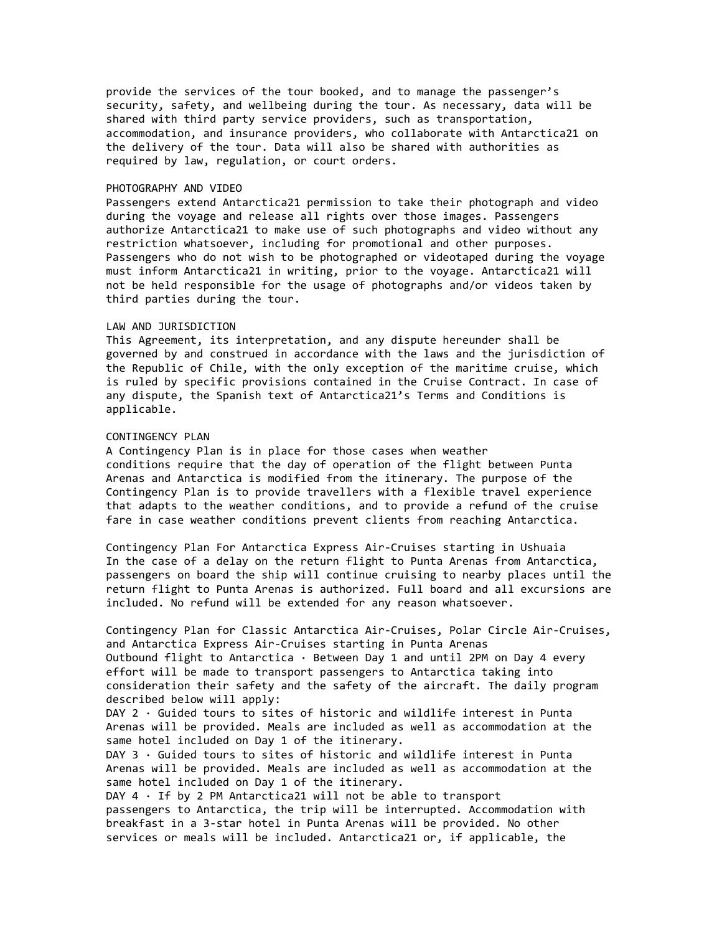provide the services of the tour booked, and to manage the passenger's security, safety, and wellbeing during the tour. As necessary, data will be shared with third party service providers, such as transportation, accommodation, and insurance providers, who collaborate with Antarctica21 on the delivery of the tour. Data will also be shared with authorities as required by law, regulation, or court orders.

### PHOTOGRAPHY AND VIDEO

Passengers extend Antarctica21 permission to take their photograph and video during the voyage and release all rights over those images. Passengers authorize Antarctica21 to make use of such photographs and video without any restriction whatsoever, including for promotional and other purposes. Passengers who do not wish to be photographed or videotaped during the voyage must inform Antarctica21 in writing, prior to the voyage. Antarctica21 will not be held responsible for the usage of photographs and/or videos taken by third parties during the tour.

#### LAW AND JURISDICTION

This Agreement, its interpretation, and any dispute hereunder shall be governed by and construed in accordance with the laws and the jurisdiction of the Republic of Chile, with the only exception of the maritime cruise, which is ruled by specific provisions contained in the Cruise Contract. In case of any dispute, the Spanish text of Antarctica21's Terms and Conditions is applicable.

## CONTINGENCY PLAN

A Contingency Plan is in place for those cases when weather conditions require that the day of operation of the flight between Punta Arenas and Antarctica is modified from the itinerary. The purpose of the Contingency Plan is to provide travellers with a flexible travel experience that adapts to the weather conditions, and to provide a refund of the cruise fare in case weather conditions prevent clients from reaching Antarctica.

Contingency Plan For Antarctica Express Air-Cruises starting in Ushuaia In the case of a delay on the return flight to Punta Arenas from Antarctica, passengers on board the ship will continue cruising to nearby places until the return flight to Punta Arenas is authorized. Full board and all excursions are included. No refund will be extended for any reason whatsoever.

Contingency Plan for Classic Antarctica Air-Cruises, Polar Circle Air-Cruises, and Antarctica Express Air-Cruises starting in Punta Arenas Outbound flight to Antarctica · Between Day 1 and until 2PM on Day 4 every effort will be made to transport passengers to Antarctica taking into consideration their safety and the safety of the aircraft. The daily program described below will apply:

DAY 2 · Guided tours to sites of historic and wildlife interest in Punta Arenas will be provided. Meals are included as well as accommodation at the same hotel included on Day 1 of the itinerary.

DAY  $3 \cdot$  Guided tours to sites of historic and wildlife interest in Punta Arenas will be provided. Meals are included as well as accommodation at the same hotel included on Day 1 of the itinerary.

DAY  $4 \cdot$  If by 2 PM Antarctica21 will not be able to transport passengers to Antarctica, the trip will be interrupted. Accommodation with breakfast in a 3-star hotel in Punta Arenas will be provided. No other services or meals will be included. Antarctica21 or, if applicable, the